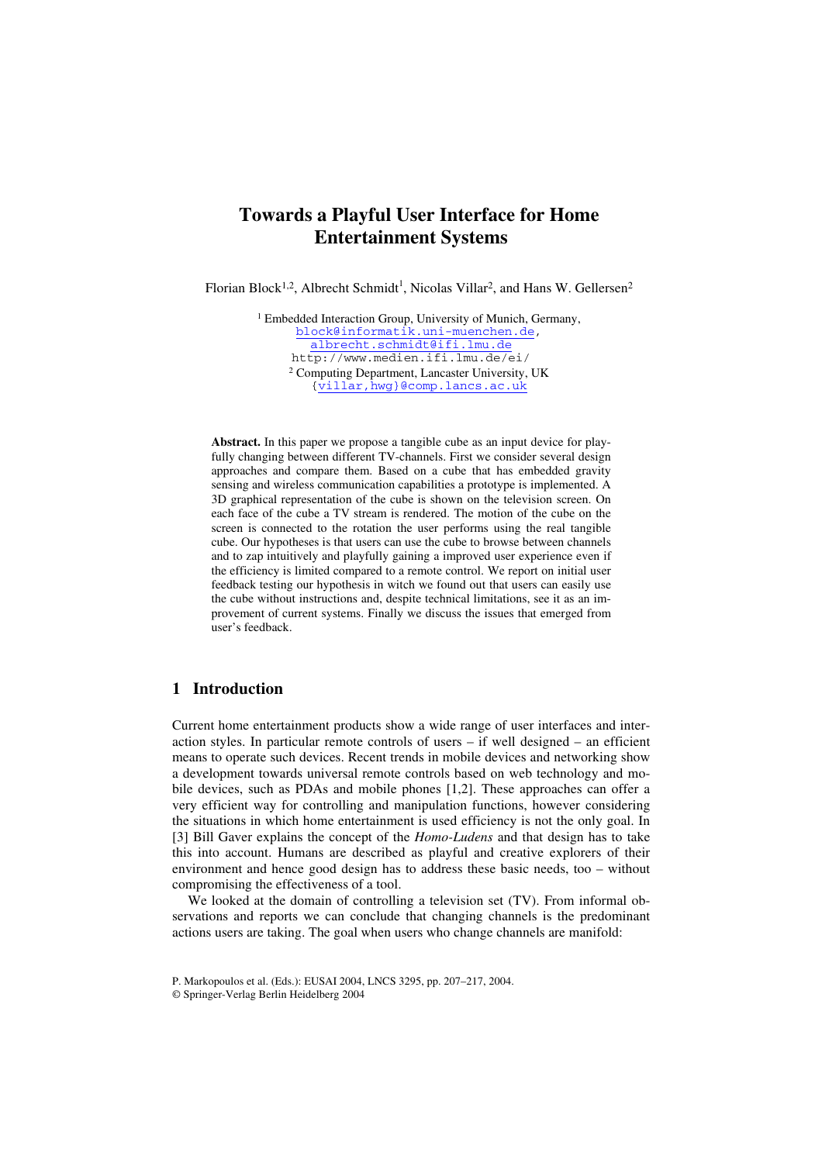# **Towards a Playful User Interface for Home Entertainment Systems**

Florian Block<sup>1,2</sup>, Albrecht Schmidt<sup>1</sup>, Nicolas Villar<sup>2</sup>, and Hans W. Gellersen<sup>2</sup>

<sup>1</sup> Embedded Interaction Group, University of Munich, Germany, block@informatik.uni-muenchen.de, albrecht.schmidt@ifi.lmu.de http://www.medien.ifi.lmu.de/ei/ 2 Computing Department, Lancaster University, UK {villar,hwg}@comp.lancs.ac.uk

**Abstract.** In this paper we propose a tangible cube as an input device for playfully changing between different TV-channels. First we consider several design approaches and compare them. Based on a cube that has embedded gravity sensing and wireless communication capabilities a prototype is implemented. A 3D graphical representation of the cube is shown on the television screen. On each face of the cube a TV stream is rendered. The motion of the cube on the screen is connected to the rotation the user performs using the real tangible cube. Our hypotheses is that users can use the cube to browse between channels and to zap intuitively and playfully gaining a improved user experience even if the efficiency is limited compared to a remote control. We report on initial user feedback testing our hypothesis in witch we found out that users can easily use the cube without instructions and, despite technical limitations, see it as an improvement of current systems. Finally we discuss the issues that emerged from user's feedback.

## **1 Introduction**

Current home entertainment products show a wide range of user interfaces and interaction styles. In particular remote controls of users – if well designed – an efficient means to operate such devices. Recent trends in mobile devices and networking show a development towards universal remote controls based on web technology and mobile devices, such as PDAs and mobile phones [1,2]. These approaches can offer a very efficient way for controlling and manipulation functions, however considering the situations in which home entertainment is used efficiency is not the only goal. In [3] Bill Gaver explains the concept of the *Homo-Ludens* and that design has to take this into account. Humans are described as playful and creative explorers of their environment and hence good design has to address these basic needs, too – without compromising the effectiveness of a tool.

We looked at the domain of controlling a television set (TV). From informal observations and reports we can conclude that changing channels is the predominant actions users are taking. The goal when users who change channels are manifold:

P. Markopoulos et al. (Eds.): EUSAI 2004, LNCS 3295, pp. 207–217, 2004.

<sup>©</sup> Springer-Verlag Berlin Heidelberg 2004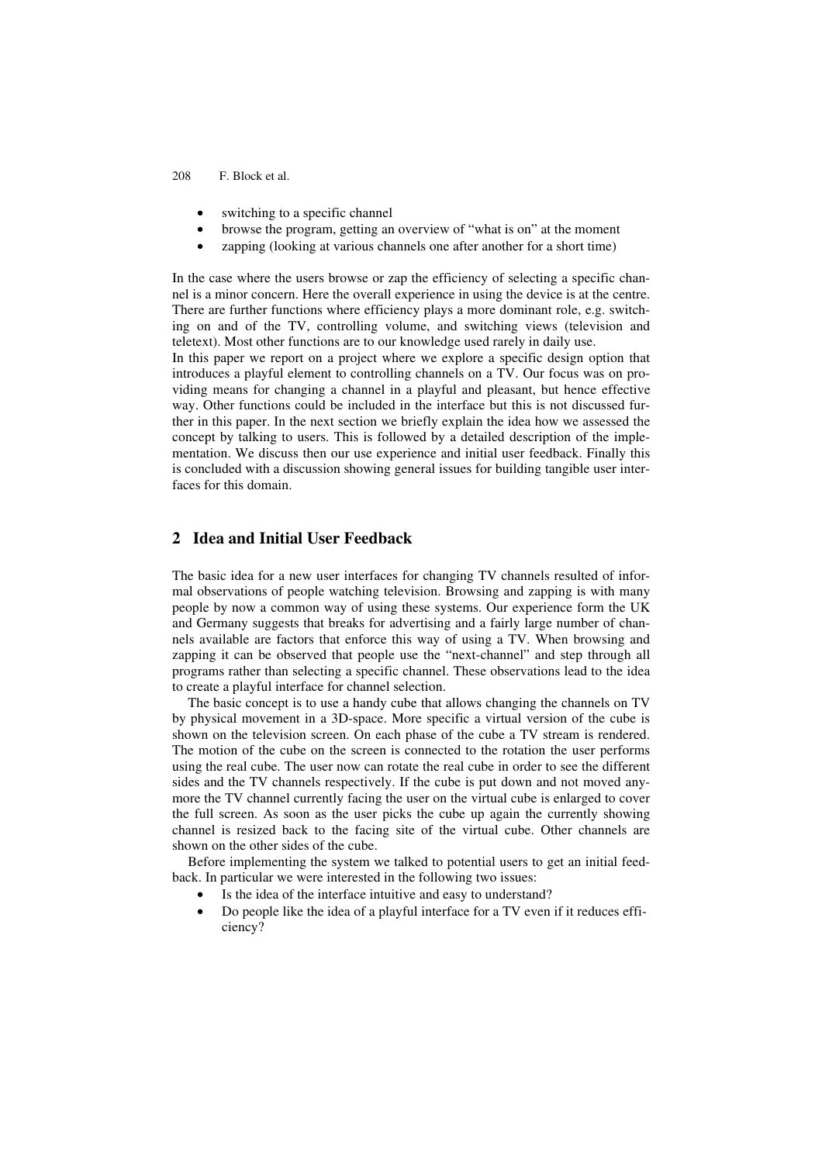- switching to a specific channel
- browse the program, getting an overview of "what is on" at the moment
- zapping (looking at various channels one after another for a short time)

In the case where the users browse or zap the efficiency of selecting a specific channel is a minor concern. Here the overall experience in using the device is at the centre. There are further functions where efficiency plays a more dominant role, e.g. switching on and of the TV, controlling volume, and switching views (television and teletext). Most other functions are to our knowledge used rarely in daily use. In this paper we report on a project where we explore a specific design option that

introduces a playful element to controlling channels on a TV. Our focus was on providing means for changing a channel in a playful and pleasant, but hence effective way. Other functions could be included in the interface but this is not discussed further in this paper. In the next section we briefly explain the idea how we assessed the concept by talking to users. This is followed by a detailed description of the implementation. We discuss then our use experience and initial user feedback. Finally this is concluded with a discussion showing general issues for building tangible user interfaces for this domain.

## **2 Idea and Initial User Feedback**

The basic idea for a new user interfaces for changing TV channels resulted of informal observations of people watching television. Browsing and zapping is with many people by now a common way of using these systems. Our experience form the UK and Germany suggests that breaks for advertising and a fairly large number of channels available are factors that enforce this way of using a TV. When browsing and zapping it can be observed that people use the "next-channel" and step through all programs rather than selecting a specific channel. These observations lead to the idea to create a playful interface for channel selection.

The basic concept is to use a handy cube that allows changing the channels on TV by physical movement in a 3D-space. More specific a virtual version of the cube is shown on the television screen. On each phase of the cube a TV stream is rendered. The motion of the cube on the screen is connected to the rotation the user performs using the real cube. The user now can rotate the real cube in order to see the different sides and the TV channels respectively. If the cube is put down and not moved anymore the TV channel currently facing the user on the virtual cube is enlarged to cover the full screen. As soon as the user picks the cube up again the currently showing channel is resized back to the facing site of the virtual cube. Other channels are shown on the other sides of the cube.

Before implementing the system we talked to potential users to get an initial feedback. In particular we were interested in the following two issues:

- Is the idea of the interface intuitive and easy to understand?
- Do people like the idea of a playful interface for a TV even if it reduces efficiency?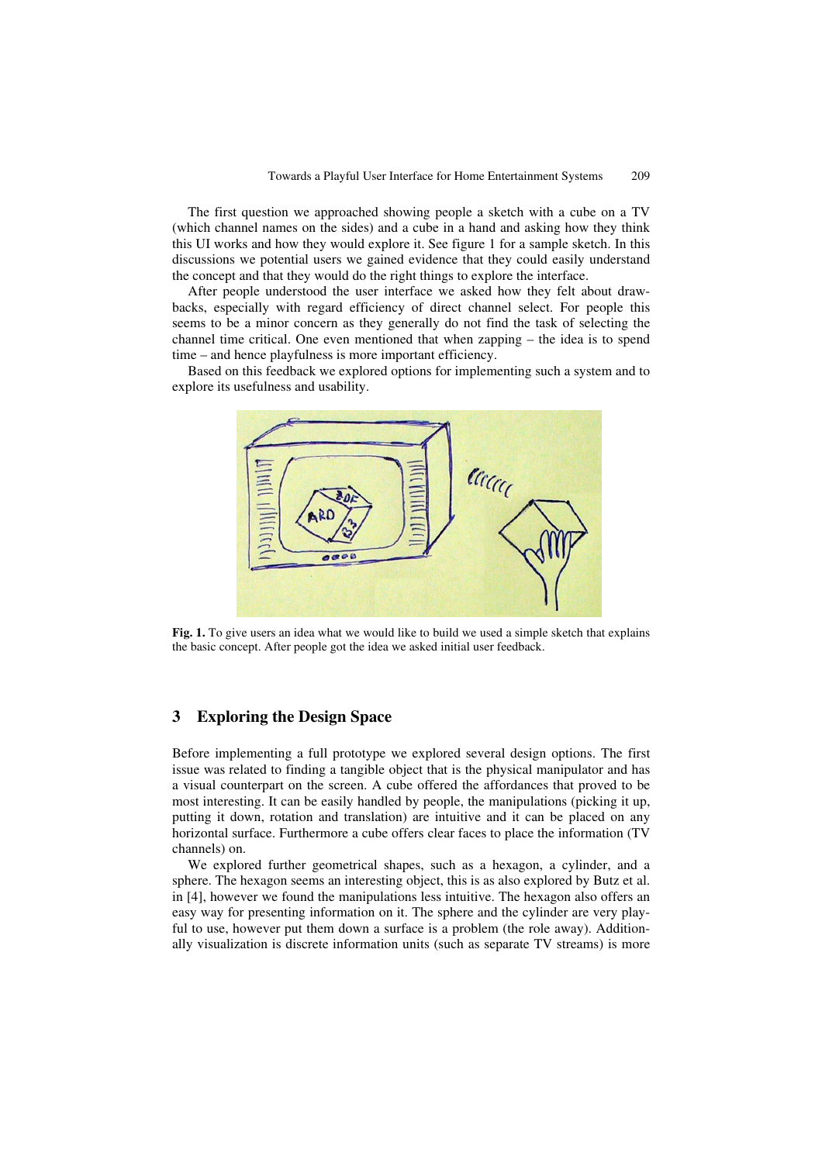The first question we approached showing people a sketch with a cube on a TV (which channel names on the sides) and a cube in a hand and asking how they think this UI works and how they would explore it. See figure 1 for a sample sketch. In this discussions we potential users we gained evidence that they could easily understand the concept and that they would do the right things to explore the interface.

After people understood the user interface we asked how they felt about drawbacks, especially with regard efficiency of direct channel select. For people this seems to be a minor concern as they generally do not find the task of selecting the channel time critical. One even mentioned that when zapping – the idea is to spend time – and hence playfulness is more important efficiency.

Based on this feedback we explored options for implementing such a system and to explore its usefulness and usability.



**Fig. 1.** To give users an idea what we would like to build we used a simple sketch that explains the basic concept. After people got the idea we asked initial user feedback.

## **3 Exploring the Design Space**

Before implementing a full prototype we explored several design options. The first issue was related to finding a tangible object that is the physical manipulator and has a visual counterpart on the screen. A cube offered the affordances that proved to be most interesting. It can be easily handled by people, the manipulations (picking it up, putting it down, rotation and translation) are intuitive and it can be placed on any horizontal surface. Furthermore a cube offers clear faces to place the information (TV channels) on.

We explored further geometrical shapes, such as a hexagon, a cylinder, and a sphere. The hexagon seems an interesting object, this is as also explored by Butz et al. in [4], however we found the manipulations less intuitive. The hexagon also offers an easy way for presenting information on it. The sphere and the cylinder are very playful to use, however put them down a surface is a problem (the role away). Additionally visualization is discrete information units (such as separate TV streams) is more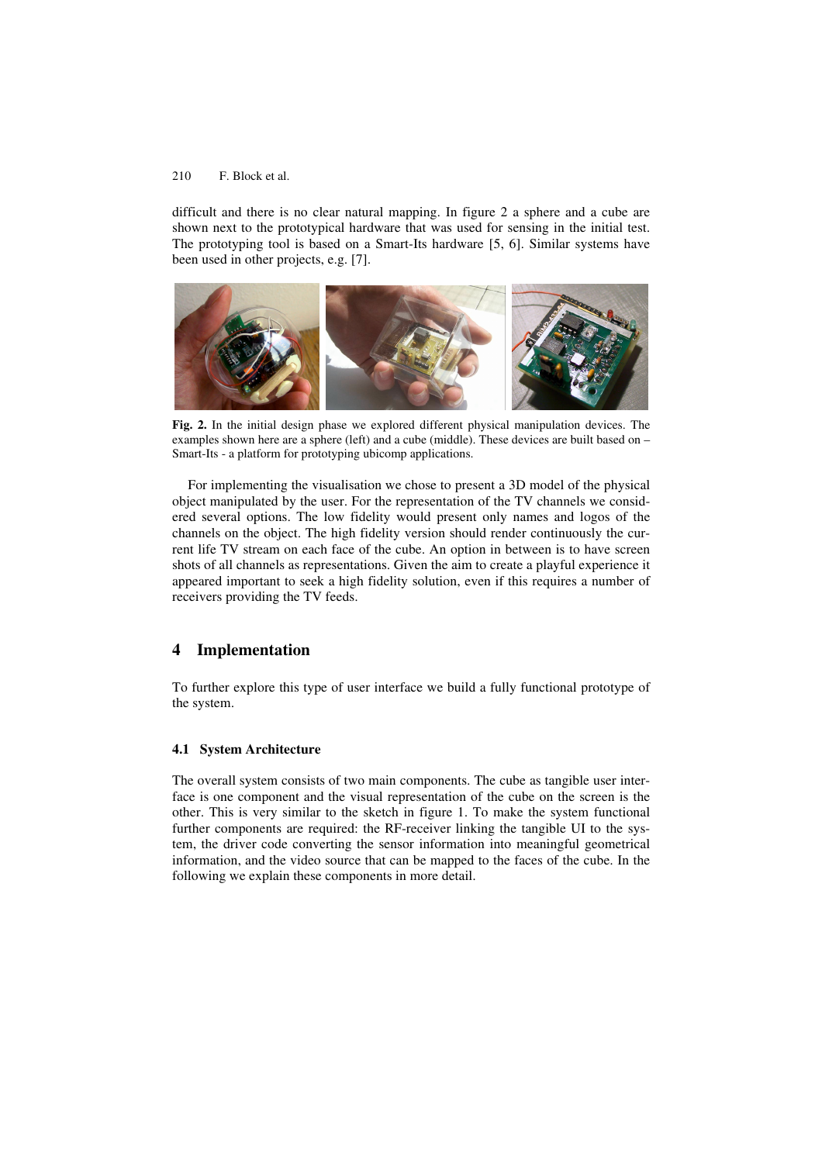difficult and there is no clear natural mapping. In figure 2 a sphere and a cube are shown next to the prototypical hardware that was used for sensing in the initial test. The prototyping tool is based on a Smart-Its hardware [5, 6]. Similar systems have been used in other projects, e.g. [7].



**Fig. 2.** In the initial design phase we explored different physical manipulation devices. The examples shown here are a sphere (left) and a cube (middle). These devices are built based on – Smart-Its - a platform for prototyping ubicomp applications.

For implementing the visualisation we chose to present a 3D model of the physical object manipulated by the user. For the representation of the TV channels we considered several options. The low fidelity would present only names and logos of the channels on the object. The high fidelity version should render continuously the current life TV stream on each face of the cube. An option in between is to have screen shots of all channels as representations. Given the aim to create a playful experience it appeared important to seek a high fidelity solution, even if this requires a number of receivers providing the TV feeds.

# **4 Implementation**

To further explore this type of user interface we build a fully functional prototype of the system.

## **4.1 System Architecture**

The overall system consists of two main components. The cube as tangible user interface is one component and the visual representation of the cube on the screen is the other. This is very similar to the sketch in figure 1. To make the system functional further components are required: the RF-receiver linking the tangible UI to the system, the driver code converting the sensor information into meaningful geometrical information, and the video source that can be mapped to the faces of the cube. In the following we explain these components in more detail.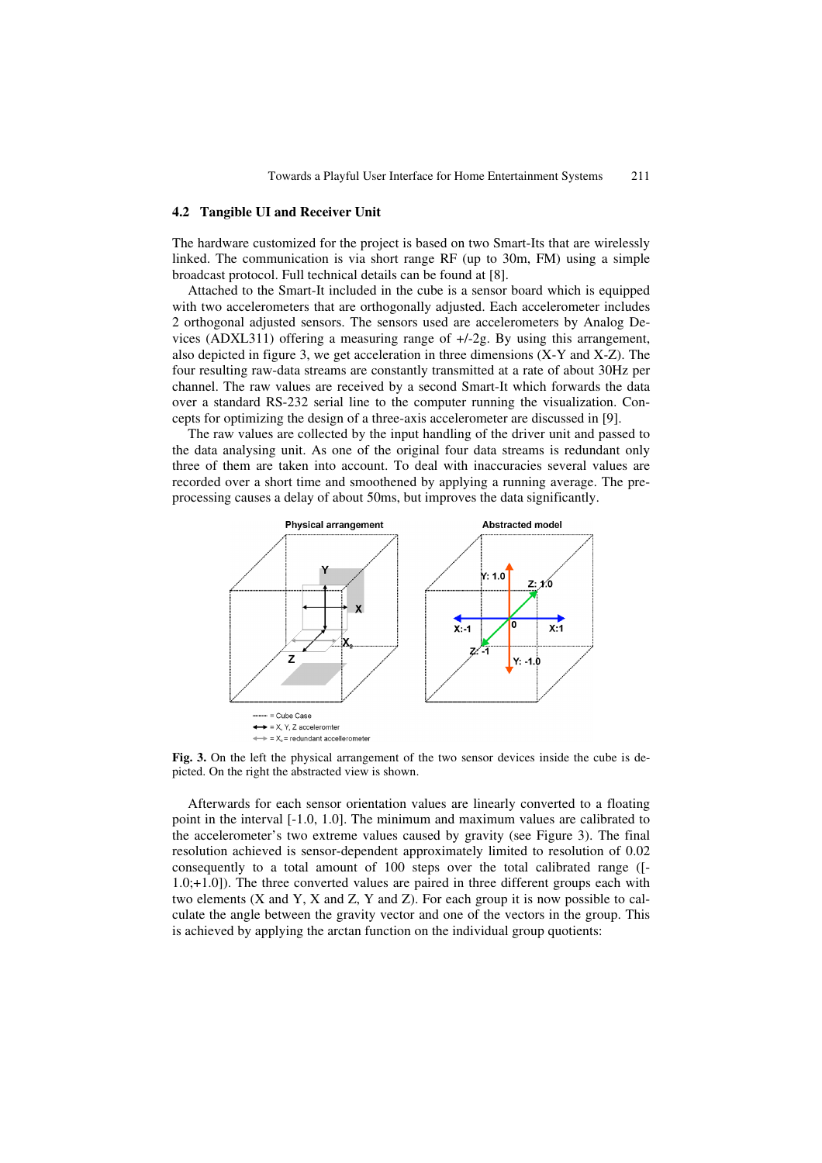#### **4.2 Tangible UI and Receiver Unit**

The hardware customized for the project is based on two Smart-Its that are wirelessly linked. The communication is via short range RF (up to 30m, FM) using a simple broadcast protocol. Full technical details can be found at [8].

Attached to the Smart-It included in the cube is a sensor board which is equipped with two accelerometers that are orthogonally adjusted. Each accelerometer includes 2 orthogonal adjusted sensors. The sensors used are accelerometers by Analog Devices (ADXL311) offering a measuring range of +/-2g. By using this arrangement, also depicted in figure 3, we get acceleration in three dimensions (X-Y and X-Z). The four resulting raw-data streams are constantly transmitted at a rate of about 30Hz per channel. The raw values are received by a second Smart-It which forwards the data over a standard RS-232 serial line to the computer running the visualization. Concepts for optimizing the design of a three-axis accelerometer are discussed in [9].

The raw values are collected by the input handling of the driver unit and passed to the data analysing unit. As one of the original four data streams is redundant only three of them are taken into account. To deal with inaccuracies several values are recorded over a short time and smoothened by applying a running average. The preprocessing causes a delay of about 50ms, but improves the data significantly.



**Fig. 3.** On the left the physical arrangement of the two sensor devices inside the cube is depicted. On the right the abstracted view is shown.

Afterwards for each sensor orientation values are linearly converted to a floating point in the interval [-1.0, 1.0]. The minimum and maximum values are calibrated to the accelerometer's two extreme values caused by gravity (see Figure 3). The final resolution achieved is sensor-dependent approximately limited to resolution of 0.02 consequently to a total amount of 100 steps over the total calibrated range ([-  $1.0;+1.0]$ ). The three converted values are paired in three different groups each with two elements  $(X \text{ and } Y, X \text{ and } Z, Y \text{ and } Z)$ . For each group it is now possible to calculate the angle between the gravity vector and one of the vectors in the group. This is achieved by applying the arctan function on the individual group quotients: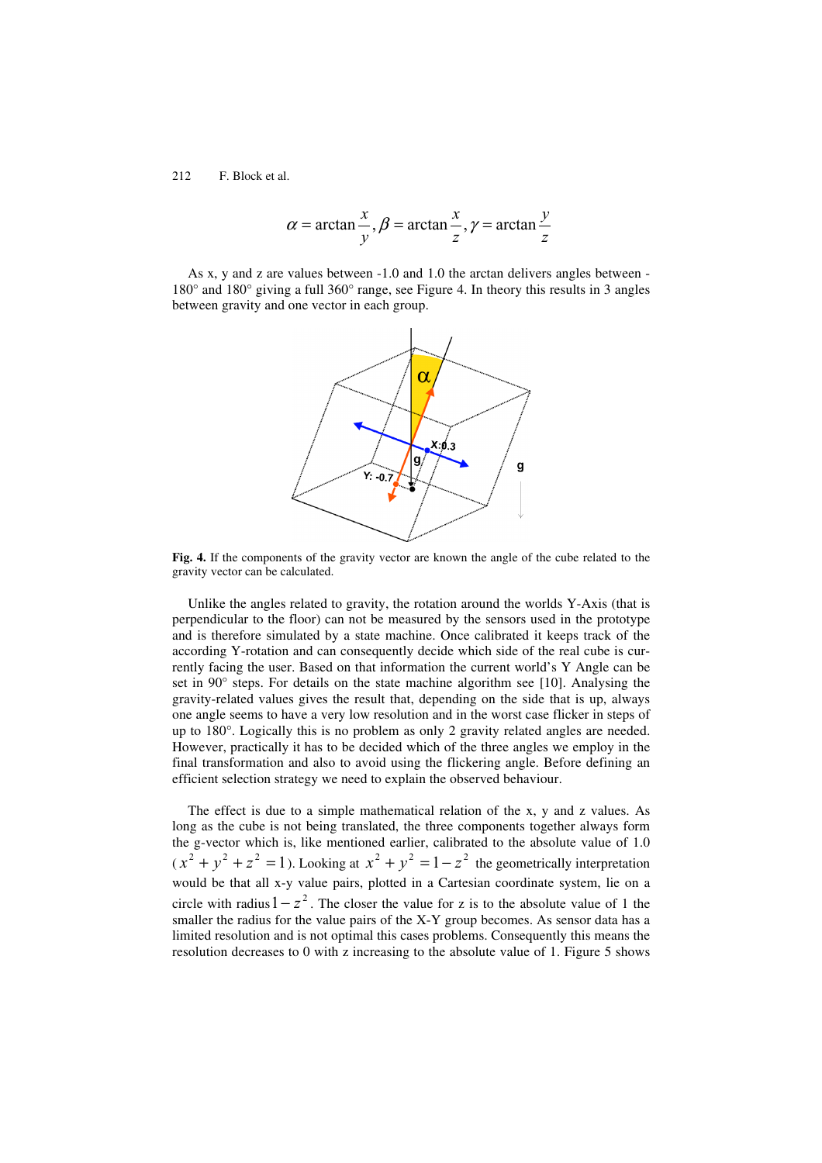$$
\alpha = \arctan\frac{x}{y}, \beta = \arctan\frac{x}{z}, \gamma = \arctan\frac{y}{z}
$$

As x, y and z are values between -1.0 and 1.0 the arctan delivers angles between - 180° and 180° giving a full 360° range, see Figure 4. In theory this results in 3 angles between gravity and one vector in each group.



**Fig. 4.** If the components of the gravity vector are known the angle of the cube related to the gravity vector can be calculated.

Unlike the angles related to gravity, the rotation around the worlds Y-Axis (that is perpendicular to the floor) can not be measured by the sensors used in the prototype and is therefore simulated by a state machine. Once calibrated it keeps track of the according Y-rotation and can consequently decide which side of the real cube is currently facing the user. Based on that information the current world's Y Angle can be set in 90° steps. For details on the state machine algorithm see [10]. Analysing the gravity-related values gives the result that, depending on the side that is up, always one angle seems to have a very low resolution and in the worst case flicker in steps of up to 180°. Logically this is no problem as only 2 gravity related angles are needed. However, practically it has to be decided which of the three angles we employ in the final transformation and also to avoid using the flickering angle. Before defining an efficient selection strategy we need to explain the observed behaviour.

The effect is due to a simple mathematical relation of the x, y and z values. As long as the cube is not being translated, the three components together always form the g-vector which is, like mentioned earlier, calibrated to the absolute value of 1.0  $(x^{2} + y^{2} + z^{2} = 1)$ . Looking at  $x^{2} + y^{2} = 1 - z^{2}$  the geometrically interpretation would be that all x-y value pairs, plotted in a Cartesian coordinate system, lie on a circle with radius  $1 - z^2$ . The closer the value for z is to the absolute value of 1 the smaller the radius for the value pairs of the X-Y group becomes. As sensor data has a limited resolution and is not optimal this cases problems. Consequently this means the resolution decreases to 0 with z increasing to the absolute value of 1. Figure 5 shows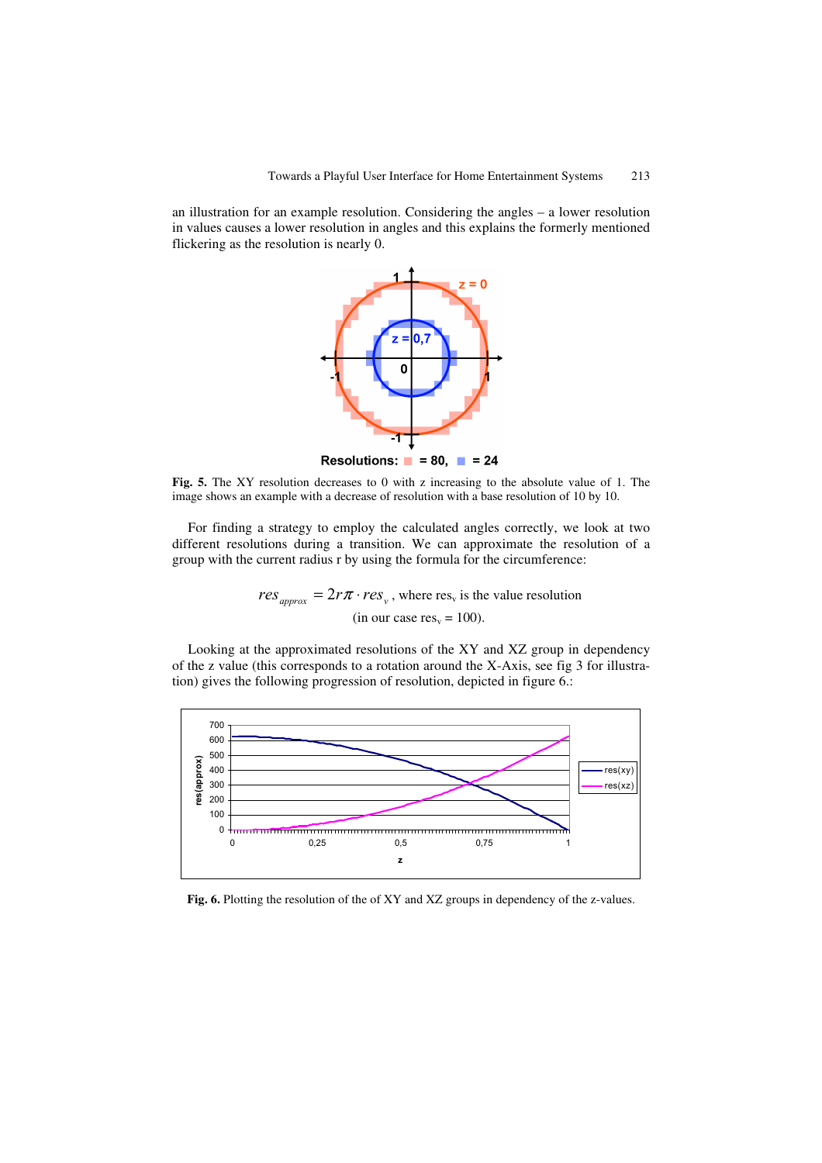an illustration for an example resolution. Considering the angles – a lower resolution in values causes a lower resolution in angles and this explains the formerly mentioned flickering as the resolution is nearly 0.



**Fig. 5.** The XY resolution decreases to 0 with z increasing to the absolute value of 1. The image shows an example with a decrease of resolution with a base resolution of 10 by 10.

For finding a strategy to employ the calculated angles correctly, we look at two different resolutions during a transition. We can approximate the resolution of a group with the current radius r by using the formula for the circumference:

> $res_{approx} = 2r\pi \cdot res_{v}$ , where res<sub>v</sub> is the value resolution (in our case  $res_v = 100$ ).

Looking at the approximated resolutions of the XY and XZ group in dependency of the z value (this corresponds to a rotation around the X-Axis, see fig 3 for illustration) gives the following progression of resolution, depicted in figure 6.:



**Fig. 6.** Plotting the resolution of the of XY and XZ groups in dependency of the z-values.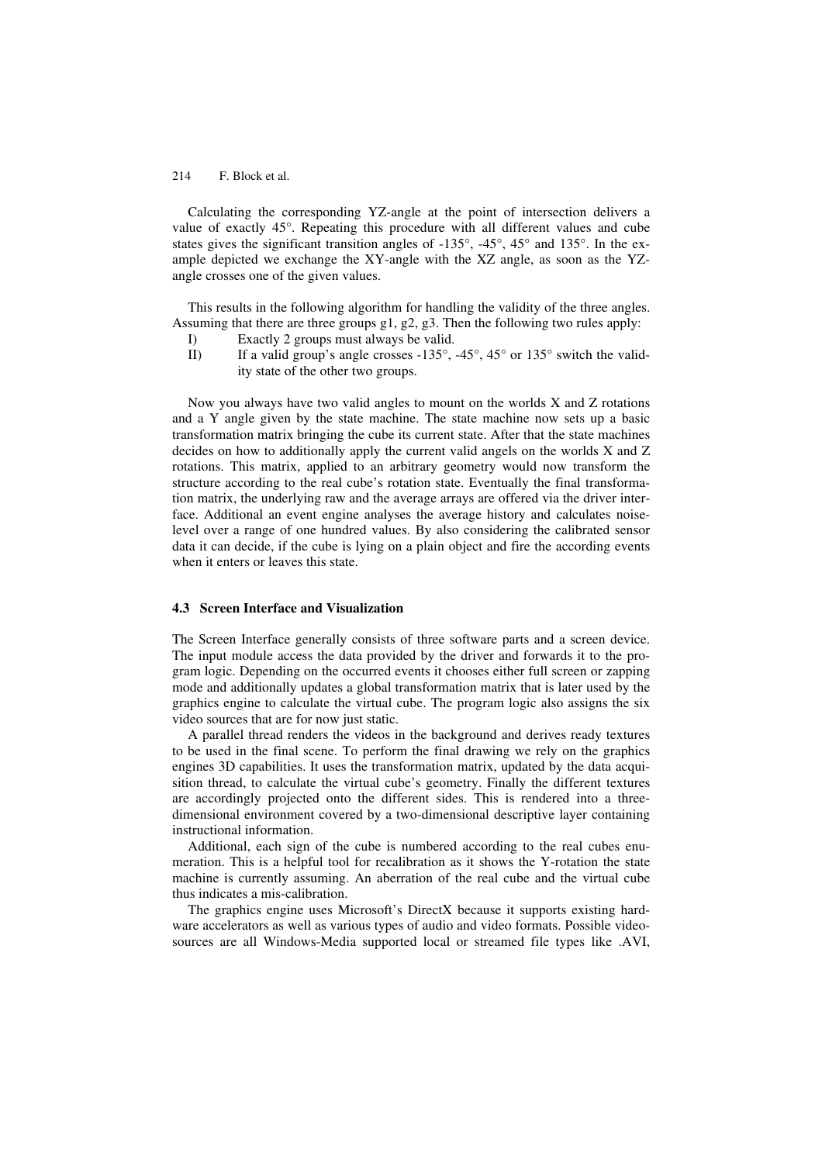Calculating the corresponding YZ-angle at the point of intersection delivers a value of exactly 45°. Repeating this procedure with all different values and cube states gives the significant transition angles of -135°, -45°, 45° and 135°. In the example depicted we exchange the XY-angle with the XZ angle, as soon as the YZangle crosses one of the given values.

This results in the following algorithm for handling the validity of the three angles. Assuming that there are three groups g1, g2, g3. Then the following two rules apply:

- I) Exactly 2 groups must always be valid.
- II) If a valid group's angle crosses  $-135^\circ$ ,  $-45^\circ$ ,  $45^\circ$  or  $135^\circ$  switch the validity state of the other two groups.

Now you always have two valid angles to mount on the worlds  $X$  and  $Z$  rotations and a Y angle given by the state machine. The state machine now sets up a basic transformation matrix bringing the cube its current state. After that the state machines decides on how to additionally apply the current valid angels on the worlds X and Z rotations. This matrix, applied to an arbitrary geometry would now transform the structure according to the real cube's rotation state. Eventually the final transformation matrix, the underlying raw and the average arrays are offered via the driver interface. Additional an event engine analyses the average history and calculates noiselevel over a range of one hundred values. By also considering the calibrated sensor data it can decide, if the cube is lying on a plain object and fire the according events when it enters or leaves this state.

### **4.3 Screen Interface and Visualization**

The Screen Interface generally consists of three software parts and a screen device. The input module access the data provided by the driver and forwards it to the program logic. Depending on the occurred events it chooses either full screen or zapping mode and additionally updates a global transformation matrix that is later used by the graphics engine to calculate the virtual cube. The program logic also assigns the six video sources that are for now just static.

A parallel thread renders the videos in the background and derives ready textures to be used in the final scene. To perform the final drawing we rely on the graphics engines 3D capabilities. It uses the transformation matrix, updated by the data acquisition thread, to calculate the virtual cube's geometry. Finally the different textures are accordingly projected onto the different sides. This is rendered into a threedimensional environment covered by a two-dimensional descriptive layer containing instructional information.

Additional, each sign of the cube is numbered according to the real cubes enumeration. This is a helpful tool for recalibration as it shows the Y-rotation the state machine is currently assuming. An aberration of the real cube and the virtual cube thus indicates a mis-calibration.

The graphics engine uses Microsoft's DirectX because it supports existing hardware accelerators as well as various types of audio and video formats. Possible videosources are all Windows-Media supported local or streamed file types like .AVI,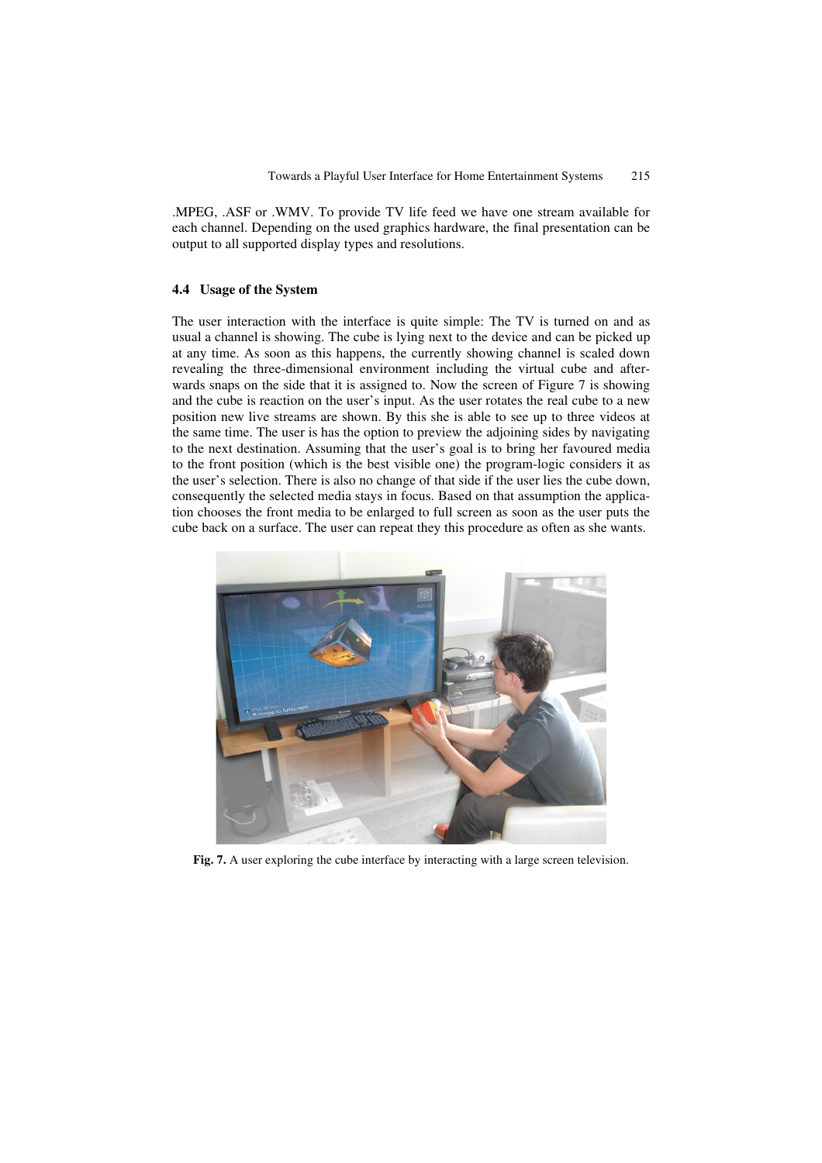.MPEG, .ASF or .WMV. To provide TV life feed we have one stream available for each channel. Depending on the used graphics hardware, the final presentation can be output to all supported display types and resolutions.

### **4.4 Usage of the System**

The user interaction with the interface is quite simple: The TV is turned on and as usual a channel is showing. The cube is lying next to the device and can be picked up at any time. As soon as this happens, the currently showing channel is scaled down revealing the three-dimensional environment including the virtual cube and afterwards snaps on the side that it is assigned to. Now the screen of Figure 7 is showing and the cube is reaction on the user's input. As the user rotates the real cube to a new position new live streams are shown. By this she is able to see up to three videos at the same time. The user is has the option to preview the adjoining sides by navigating to the next destination. Assuming that the user's goal is to bring her favoured media to the front position (which is the best visible one) the program-logic considers it as the user's selection. There is also no change of that side if the user lies the cube down, consequently the selected media stays in focus. Based on that assumption the application chooses the front media to be enlarged to full screen as soon as the user puts the cube back on a surface. The user can repeat they this procedure as often as she wants.



**Fig. 7.** A user exploring the cube interface by interacting with a large screen television.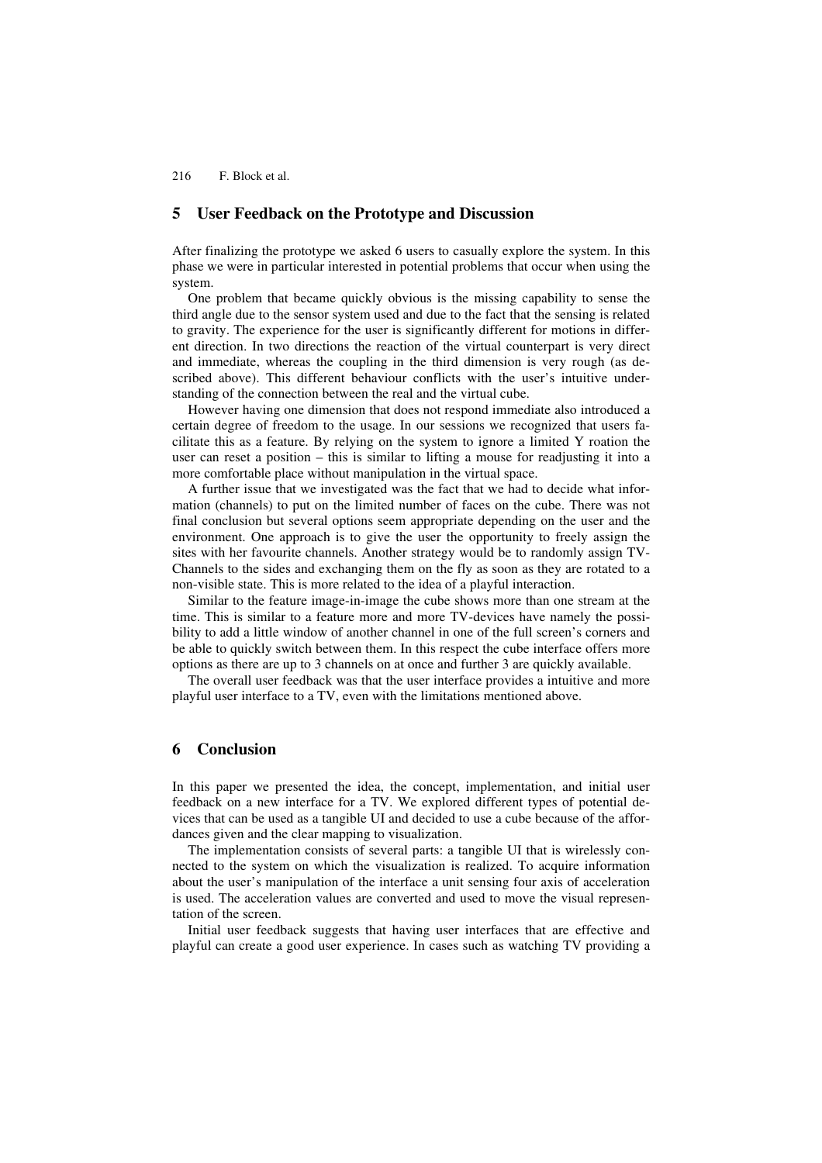## **5 User Feedback on the Prototype and Discussion**

After finalizing the prototype we asked 6 users to casually explore the system. In this phase we were in particular interested in potential problems that occur when using the system.

One problem that became quickly obvious is the missing capability to sense the third angle due to the sensor system used and due to the fact that the sensing is related to gravity. The experience for the user is significantly different for motions in different direction. In two directions the reaction of the virtual counterpart is very direct and immediate, whereas the coupling in the third dimension is very rough (as described above). This different behaviour conflicts with the user's intuitive understanding of the connection between the real and the virtual cube.

However having one dimension that does not respond immediate also introduced a certain degree of freedom to the usage. In our sessions we recognized that users facilitate this as a feature. By relying on the system to ignore a limited Y roation the user can reset a position – this is similar to lifting a mouse for readjusting it into a more comfortable place without manipulation in the virtual space.

A further issue that we investigated was the fact that we had to decide what information (channels) to put on the limited number of faces on the cube. There was not final conclusion but several options seem appropriate depending on the user and the environment. One approach is to give the user the opportunity to freely assign the sites with her favourite channels. Another strategy would be to randomly assign TV-Channels to the sides and exchanging them on the fly as soon as they are rotated to a non-visible state. This is more related to the idea of a playful interaction.

Similar to the feature image-in-image the cube shows more than one stream at the time. This is similar to a feature more and more TV-devices have namely the possibility to add a little window of another channel in one of the full screen's corners and be able to quickly switch between them. In this respect the cube interface offers more options as there are up to 3 channels on at once and further 3 are quickly available.

The overall user feedback was that the user interface provides a intuitive and more playful user interface to a TV, even with the limitations mentioned above.

## **6 Conclusion**

In this paper we presented the idea, the concept, implementation, and initial user feedback on a new interface for a TV. We explored different types of potential devices that can be used as a tangible UI and decided to use a cube because of the affordances given and the clear mapping to visualization.

The implementation consists of several parts: a tangible UI that is wirelessly connected to the system on which the visualization is realized. To acquire information about the user's manipulation of the interface a unit sensing four axis of acceleration is used. The acceleration values are converted and used to move the visual representation of the screen.

Initial user feedback suggests that having user interfaces that are effective and playful can create a good user experience. In cases such as watching TV providing a